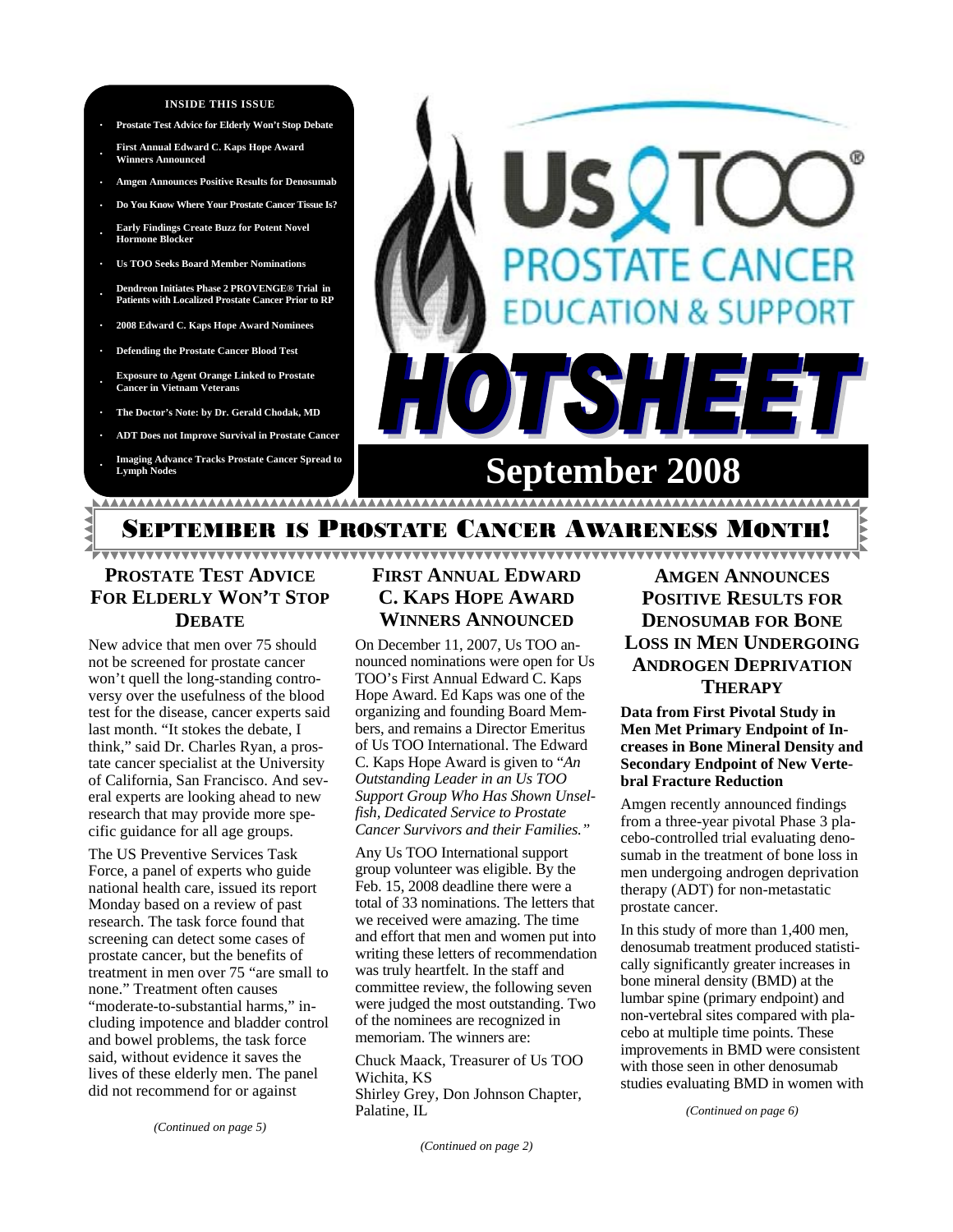#### **INSIDE THIS ISSUE**

- **· Prostate Test Advice for Elderly Won't Stop Debate**
- **· First Annual Edward C. Kaps Hope Award Winners Announced**
- **· Amgen Announces Positive Results for Denosumab**
- **· Do You Know Where Your Prostate Cancer Tissue Is?**
- **· Early Findings Create Buzz for Potent Novel Hormone Blocker**
- **· Us TOO Seeks Board Member Nominations**
- **· Dendreon Initiates Phase 2 PROVENGE® Trial in Patients with Localized Prostate Cancer Prior to RP**
- **· 2008 Edward C. Kaps Hope Award Nominees**
- **· Defending the Prostate Cancer Blood Test**
- **· Exposure to Agent Orange Linked to Prostate Cancer in Vietnam Veterans**
- **· The Doctor's Note: by Dr. Gerald Chodak, MD**
- **· ADT Does not Improve Survival in Prostate Cancer**
- **· Imaging Advance Tracks Prostate Cancer Spread to Lymph Nodes**



# EMBER IS PROSTATE CANCER AWARENESS M

# **PROSTATE TEST ADVICE FOR ELDERLY WON'T STOP DEBATE**

New advice that men over 75 should not be screened for prostate cancer won't quell the long-standing controversy over the usefulness of the blood test for the disease, cancer experts said last month. "It stokes the debate, I think," said Dr. Charles Ryan, a prostate cancer specialist at the University of California, San Francisco. And several experts are looking ahead to new research that may provide more specific guidance for all age groups.

The US Preventive Services Task Force, a panel of experts who guide national health care, issued its report Monday based on a review of past research. The task force found that screening can detect some cases of prostate cancer, but the benefits of treatment in men over 75 "are small to none." Treatment often causes "moderate-to-substantial harms," including impotence and bladder control and bowel problems, the task force said, without evidence it saves the lives of these elderly men. The panel did not recommend for or against

# **FIRST ANNUAL EDWARD C. KAPS HOPE AWARD WINNERS ANNOUNCED**

On December 11, 2007, Us TOO announced nominations were open for Us TOO's First Annual Edward C. Kaps Hope Award. Ed Kaps was one of the organizing and founding Board Members, and remains a Director Emeritus of Us TOO International. The Edward C. Kaps Hope Award is given to "*An Outstanding Leader in an Us TOO Support Group Who Has Shown Unselfish, Dedicated Service to Prostate Cancer Survivors and their Families."* 

Any Us TOO International support group volunteer was eligible. By the Feb. 15, 2008 deadline there were a total of 33 nominations. The letters that we received were amazing. The time and effort that men and women put into writing these letters of recommendation was truly heartfelt. In the staff and committee review, the following seven were judged the most outstanding. Two of the nominees are recognized in memoriam. The winners are:

Chuck Maack, Treasurer of Us TOO Wichita, KS Shirley Grey, Don Johnson Chapter, Palatine, IL

**AMGEN ANNOUNCES POSITIVE RESULTS FOR DENOSUMAB FOR BONE LOSS IN MEN UNDERGOING ANDROGEN DEPRIVATION THERAPY**

<u> YYYYYYYYYYYYYYYYYYYYYYYYYYYYYY</u>

**Data from First Pivotal Study in Men Met Primary Endpoint of Increases in Bone Mineral Density and Secondary Endpoint of New Vertebral Fracture Reduction** 

Amgen recently announced findings from a three-year pivotal Phase 3 placebo-controlled trial evaluating denosumab in the treatment of bone loss in men undergoing androgen deprivation therapy (ADT) for non-metastatic prostate cancer.

In this study of more than 1,400 men, denosumab treatment produced statistically significantly greater increases in bone mineral density (BMD) at the lumbar spine (primary endpoint) and non-vertebral sites compared with placebo at multiple time points. These improvements in BMD were consistent with those seen in other denosumab studies evaluating BMD in women with

*(Continued on page 6)* 

*(Continued on page 2)*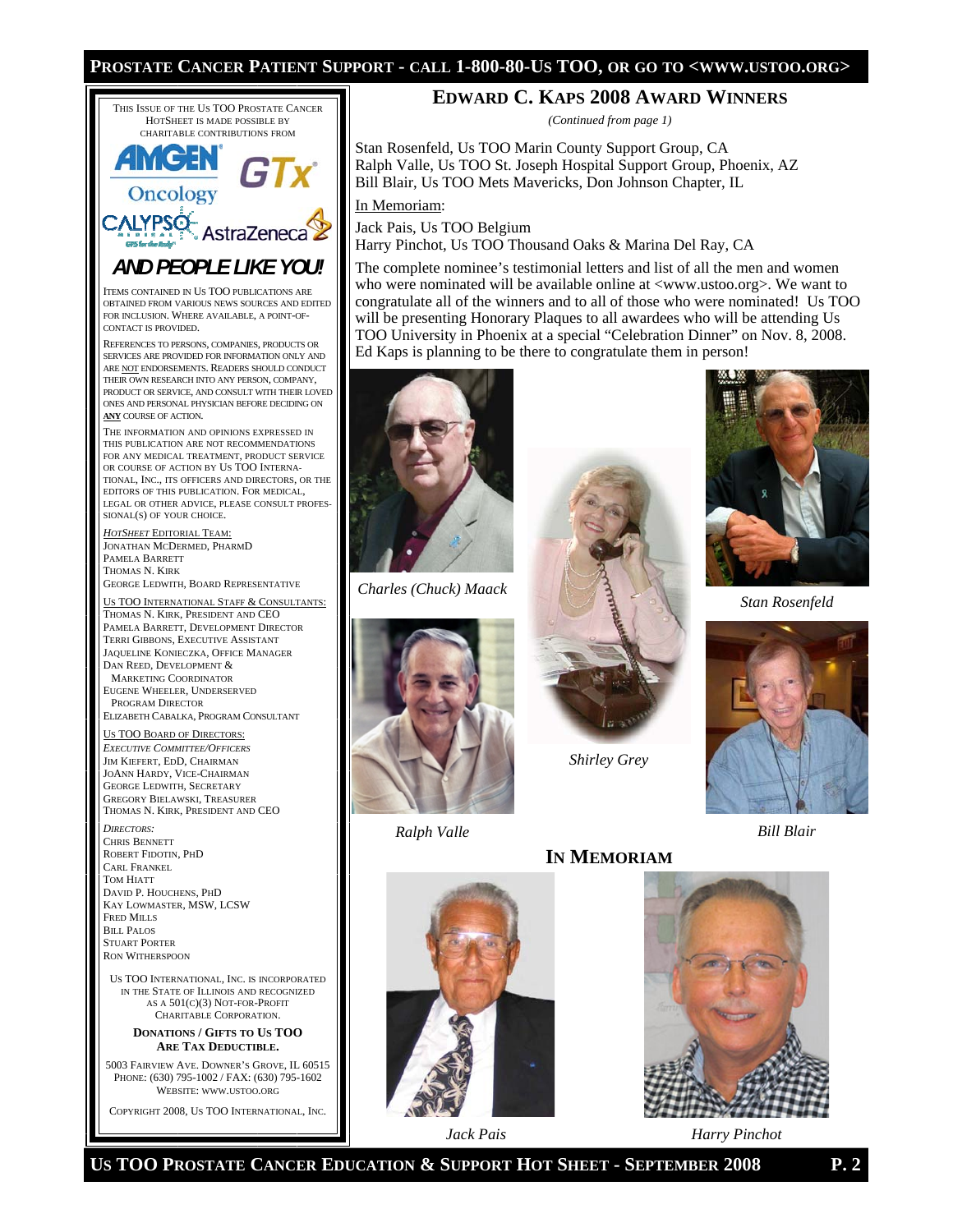### **PROSTATE CANCER PATIENT SUPPORT - CALL 1-800-80-US TOO, OR GO TO <WWW.USTOO.ORG>**



5003 FAIRVIEW AVE. DOWNER'S GROVE, IL 60515 PHONE: (630) 795-1002 / FAX: (630) 795-1602 WEBSITE: WWW.USTOO.ORG

COPYRIGHT 2008, US TOO INTERNATIONAL, INC.

### **EDWARD C. KAPS 2008 AWARD WINNERS**

*(Continued from page 1)* 

Stan Rosenfeld, Us TOO Marin County Support Group, CA Ralph Valle, Us TOO St. Joseph Hospital Support Group, Phoenix, AZ Bill Blair, Us TOO Mets Mavericks, Don Johnson Chapter, IL

In Memoriam:

Jack Pais, Us TOO Belgium

Harry Pinchot, Us TOO Thousand Oaks & Marina Del Ray, CA

The complete nominee's testimonial letters and list of all the men and women who were nominated will be available online at <www.ustoo.org>. We want to congratulate all of the winners and to all of those who were nominated! Us TOO will be presenting Honorary Plaques to all awardees who will be attending Us TOO University in Phoenix at a special "Celebration Dinner" on Nov. 8, 2008. Ed Kaps is planning to be there to congratulate them in person!



*Charles (Chuck) Maack* 



*Shirley Grey* 

**IN MEMORIAM**



*Stan Rosenfeld* 









*Jack Pais Harry Pinchot* 

**US TOO PROSTATE CANCER EDUCATION & SUPPORT HOT SHEET - SEPTEMBER 2008 P. 2**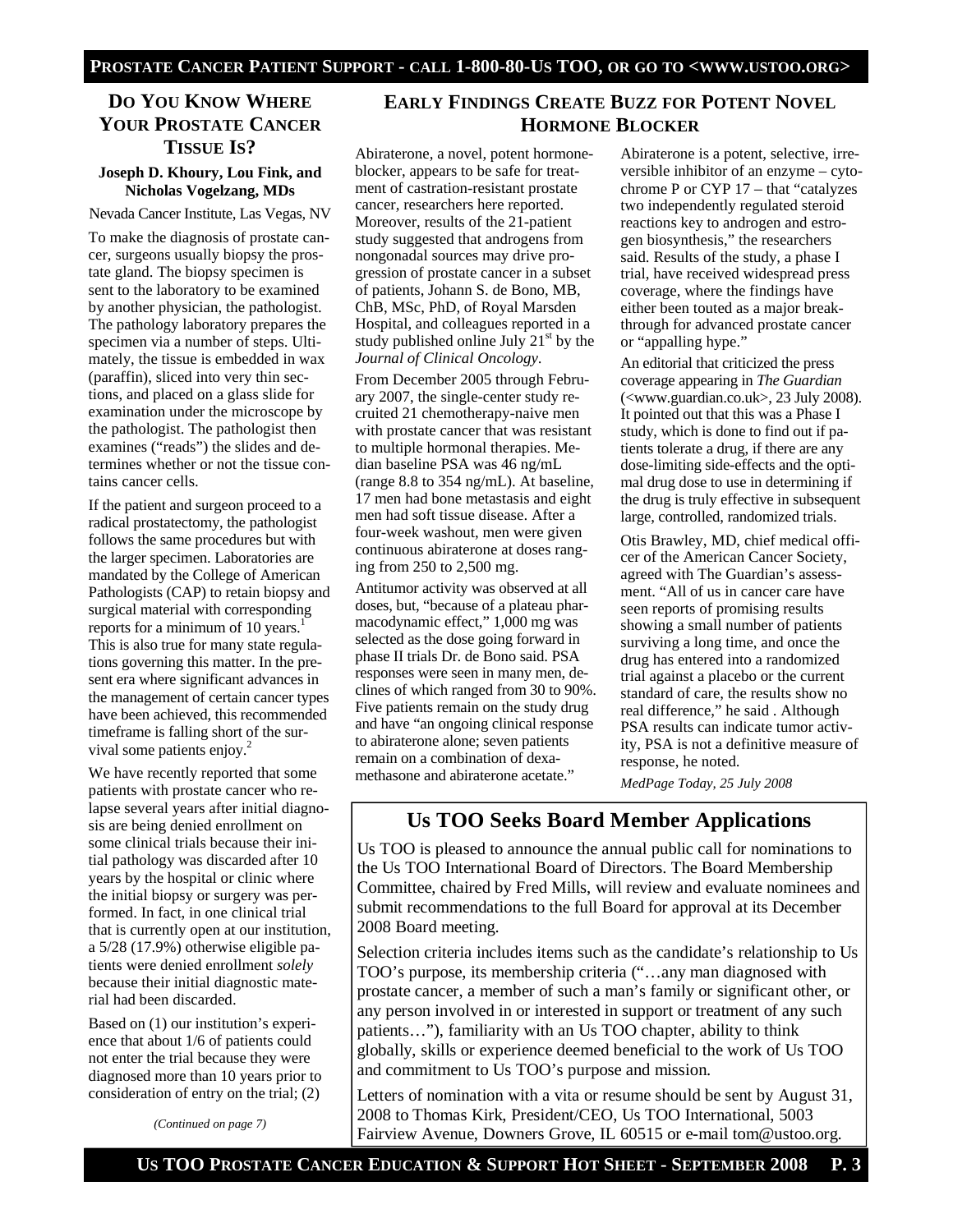## **DO YOU KNOW WHERE YOUR PROSTATE CANCER TISSUE IS?**

### **Joseph D. Khoury, Lou Fink, and Nicholas Vogelzang, MDs**

Nevada Cancer Institute, Las Vegas, NV

To make the diagnosis of prostate cancer, surgeons usually biopsy the prostate gland. The biopsy specimen is sent to the laboratory to be examined by another physician, the pathologist. The pathology laboratory prepares the specimen via a number of steps. Ultimately, the tissue is embedded in wax (paraffin), sliced into very thin sections, and placed on a glass slide for examination under the microscope by the pathologist. The pathologist then examines ("reads") the slides and determines whether or not the tissue contains cancer cells.

If the patient and surgeon proceed to a radical prostatectomy, the pathologist follows the same procedures but with the larger specimen. Laboratories are mandated by the College of American Pathologists (CAP) to retain biopsy and surgical material with corresponding reports for a minimum of 10 years. $<sup>1</sup>$ </sup> This is also true for many state regulations governing this matter. In the present era where significant advances in the management of certain cancer types have been achieved, this recommended timeframe is falling short of the survival some patients enjoy.<sup>2</sup>

We have recently reported that some patients with prostate cancer who relapse several years after initial diagnosis are being denied enrollment on some clinical trials because their initial pathology was discarded after 10 years by the hospital or clinic where the initial biopsy or surgery was performed. In fact, in one clinical trial that is currently open at our institution, a 5/28 (17.9%) otherwise eligible patients were denied enrollment *solely* because their initial diagnostic material had been discarded.

Based on (1) our institution's experience that about 1/6 of patients could not enter the trial because they were diagnosed more than 10 years prior to consideration of entry on the trial; (2)

*(Continued on page 7)* 

### **EARLY FINDINGS CREATE BUZZ FOR POTENT NOVEL HORMONE BLOCKER**

Abiraterone, a novel, potent hormoneblocker, appears to be safe for treatment of castration-resistant prostate cancer, researchers here reported. Moreover, results of the 21-patient study suggested that androgens from nongonadal sources may drive progression of prostate cancer in a subset of patients, Johann S. de Bono, MB, ChB, MSc, PhD, of Royal Marsden Hospital, and colleagues reported in a study published online July  $21<sup>st</sup>$  by the *Journal of Clinical Oncology*.

From December 2005 through February 2007, the single-center study recruited 21 chemotherapy-naive men with prostate cancer that was resistant to multiple hormonal therapies. Median baseline PSA was 46 ng/mL (range 8.8 to 354 ng/mL). At baseline, 17 men had bone metastasis and eight men had soft tissue disease. After a four-week washout, men were given continuous abiraterone at doses ranging from 250 to 2,500 mg.

Antitumor activity was observed at all doses, but, "because of a plateau pharmacodynamic effect," 1,000 mg was selected as the dose going forward in phase II trials Dr. de Bono said. PSA responses were seen in many men, declines of which ranged from 30 to 90%. Five patients remain on the study drug and have "an ongoing clinical response to abiraterone alone; seven patients remain on a combination of dexamethasone and abiraterone acetate."

Abiraterone is a potent, selective, irreversible inhibitor of an enzyme – cytochrome P or CYP 17 – that "catalyzes two independently regulated steroid reactions key to androgen and estrogen biosynthesis," the researchers said. Results of the study, a phase I trial, have received widespread press coverage, where the findings have either been touted as a major breakthrough for advanced prostate cancer or "appalling hype."

An editorial that criticized the press coverage appearing in *The Guardian*  (<www*.*guardian.co.uk>, 23 July 2008). It pointed out that this was a Phase I study, which is done to find out if patients tolerate a drug, if there are any dose-limiting side-effects and the optimal drug dose to use in determining if the drug is truly effective in subsequent large, controlled, randomized trials.

Otis Brawley, MD, chief medical officer of the American Cancer Society, agreed with The Guardian's assessment. "All of us in cancer care have seen reports of promising results showing a small number of patients surviving a long time, and once the drug has entered into a randomized trial against a placebo or the current standard of care, the results show no real difference," he said . Although PSA results can indicate tumor activity, PSA is not a definitive measure of response, he noted.

*MedPage Today, 25 July 2008*

# **Us TOO Seeks Board Member Applications**

Us TOO is pleased to announce the annual public call for nominations to the Us TOO International Board of Directors. The Board Membership Committee, chaired by Fred Mills, will review and evaluate nominees and submit recommendations to the full Board for approval at its December 2008 Board meeting.

Selection criteria includes items such as the candidate's relationship to Us TOO's purpose, its membership criteria ("…any man diagnosed with prostate cancer, a member of such a man's family or significant other, or any person involved in or interested in support or treatment of any such patients…"), familiarity with an Us TOO chapter, ability to think globally, skills or experience deemed beneficial to the work of Us TOO and commitment to Us TOO's purpose and mission.

Letters of nomination with a vita or resume should be sent by August 31, 2008 to Thomas Kirk, President/CEO, Us TOO International, 5003 Fairview Avenue, Downers Grove, IL 60515 or e-mail tom@ustoo.org.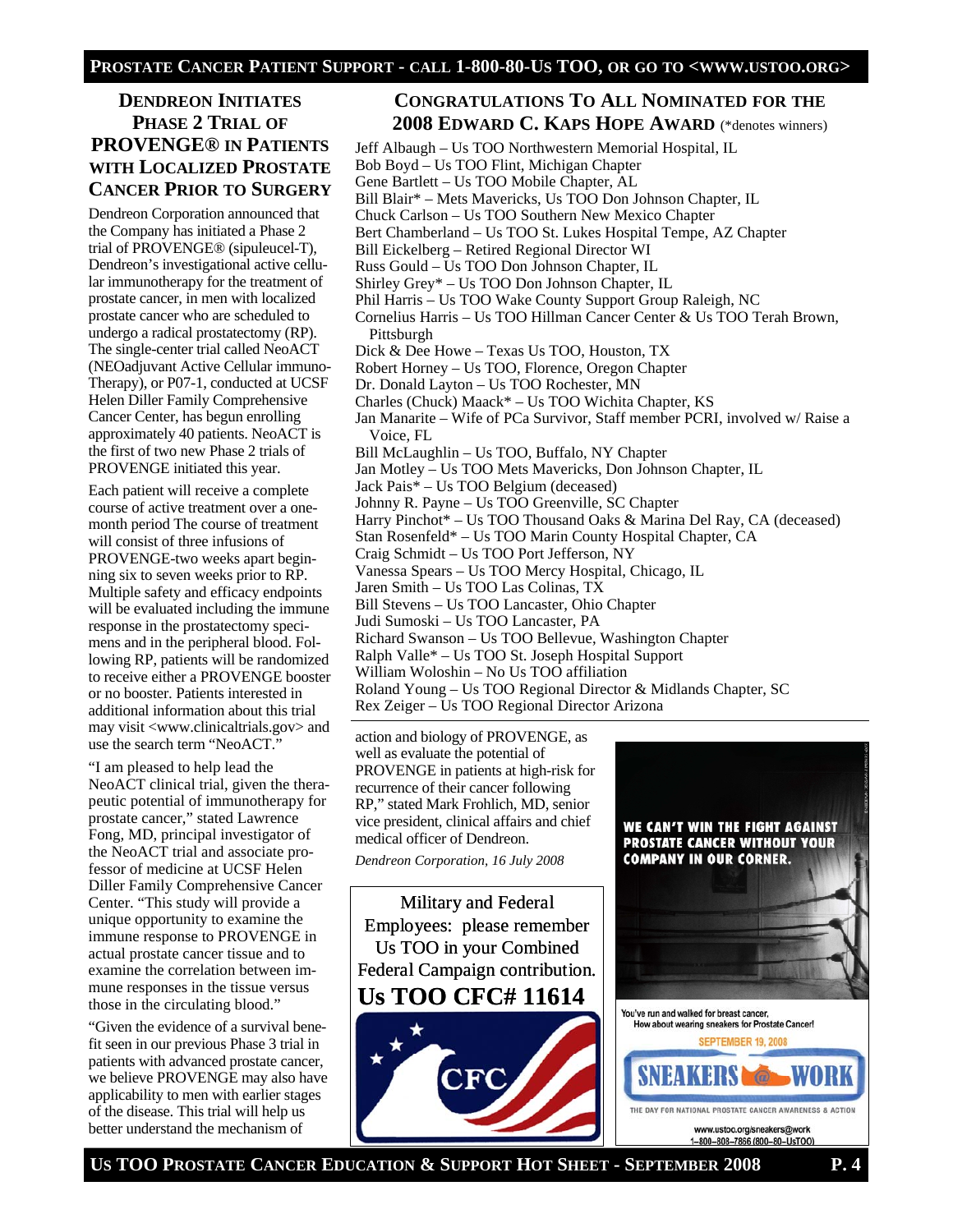# **DENDREON INITIATES PHASE 2 TRIAL OF PROVENGE® IN PATIENTS WITH LOCALIZED PROSTATE CANCER PRIOR TO SURGERY**

Dendreon Corporation announced that the Company has initiated a Phase 2 trial of PROVENGE® (sipuleucel-T), Dendreon's investigational active cellular immunotherapy for the treatment of prostate cancer, in men with localized prostate cancer who are scheduled to undergo a radical prostatectomy (RP). The single-center trial called NeoACT (NEOadjuvant Active Cellular immuno-Therapy), or P07-1, conducted at UCSF Helen Diller Family Comprehensive Cancer Center, has begun enrolling approximately 40 patients. NeoACT is the first of two new Phase 2 trials of PROVENGE initiated this year.

Each patient will receive a complete course of active treatment over a onemonth period The course of treatment will consist of three infusions of PROVENGE-two weeks apart beginning six to seven weeks prior to RP. Multiple safety and efficacy endpoints will be evaluated including the immune response in the prostatectomy specimens and in the peripheral blood. Following RP, patients will be randomized to receive either a PROVENGE booster or no booster. Patients interested in additional information about this trial may visit <www.clinicaltrials.gov> and use the search term "NeoACT."

"I am pleased to help lead the NeoACT clinical trial, given the therapeutic potential of immunotherapy for prostate cancer," stated Lawrence Fong, MD, principal investigator of the NeoACT trial and associate professor of medicine at UCSF Helen Diller Family Comprehensive Cancer Center. "This study will provide a unique opportunity to examine the immune response to PROVENGE in actual prostate cancer tissue and to examine the correlation between immune responses in the tissue versus those in the circulating blood."

"Given the evidence of a survival benefit seen in our previous Phase 3 trial in patients with advanced prostate cancer, we believe PROVENGE may also have applicability to men with earlier stages of the disease. This trial will help us better understand the mechanism of

### **CONGRATULATIONS TO ALL NOMINATED FOR THE 2008 EDWARD C. KAPS HOPE AWARD** (\*denotes winners)

Jeff Albaugh – Us TOO Northwestern Memorial Hospital, IL Bob Boyd – Us TOO Flint, Michigan Chapter Gene Bartlett – Us TOO Mobile Chapter, AL Bill Blair\* – Mets Mavericks, Us TOO Don Johnson Chapter, IL Chuck Carlson – Us TOO Southern New Mexico Chapter Bert Chamberland – Us TOO St. Lukes Hospital Tempe, AZ Chapter Bill Eickelberg – Retired Regional Director WI Russ Gould – Us TOO Don Johnson Chapter, IL Shirley Grey\* – Us TOO Don Johnson Chapter, IL Phil Harris – Us TOO Wake County Support Group Raleigh, NC Cornelius Harris – Us TOO Hillman Cancer Center & Us TOO Terah Brown, Pittsburgh Dick & Dee Howe – Texas Us TOO, Houston, TX Robert Horney – Us TOO, Florence, Oregon Chapter Dr. Donald Layton – Us TOO Rochester, MN Charles (Chuck) Maack\* – Us TOO Wichita Chapter, KS Jan Manarite – Wife of PCa Survivor, Staff member PCRI, involved w/ Raise a Voice, FL Bill McLaughlin – Us TOO, Buffalo, NY Chapter Jan Motley – Us TOO Mets Mavericks, Don Johnson Chapter, IL Jack Pais\* – Us TOO Belgium (deceased) Johnny R. Payne – Us TOO Greenville, SC Chapter Harry Pinchot\* – Us TOO Thousand Oaks & Marina Del Ray, CA (deceased) Stan Rosenfeld\* – Us TOO Marin County Hospital Chapter, CA Craig Schmidt – Us TOO Port Jefferson, NY Vanessa Spears – Us TOO Mercy Hospital, Chicago, IL Jaren Smith – Us TOO Las Colinas, TX Bill Stevens – Us TOO Lancaster, Ohio Chapter Judi Sumoski – Us TOO Lancaster, PA Richard Swanson – Us TOO Bellevue, Washington Chapter Ralph Valle\* – Us TOO St. Joseph Hospital Support William Woloshin – No Us TOO affiliation

Roland Young – Us TOO Regional Director & Midlands Chapter, SC

Rex Zeiger – Us TOO Regional Director Arizona

action and biology of PROVENGE, as well as evaluate the potential of PROVENGE in patients at high-risk for recurrence of their cancer following RP," stated Mark Frohlich, MD, senior vice president, clinical affairs and chief medical officer of Dendreon.

*Dendreon Corporation, 16 July 2008* 



WE CAN'T WIN THE FIGHT AGAINST **PROSTATE CANCER WITHOUT YOUR COMPANY IN OUR CORNER.** 

**US TOO PROSTATE CANCER EDUCATION & SUPPORT HOT SHEET - SEPTEMBER 2008 P. 4**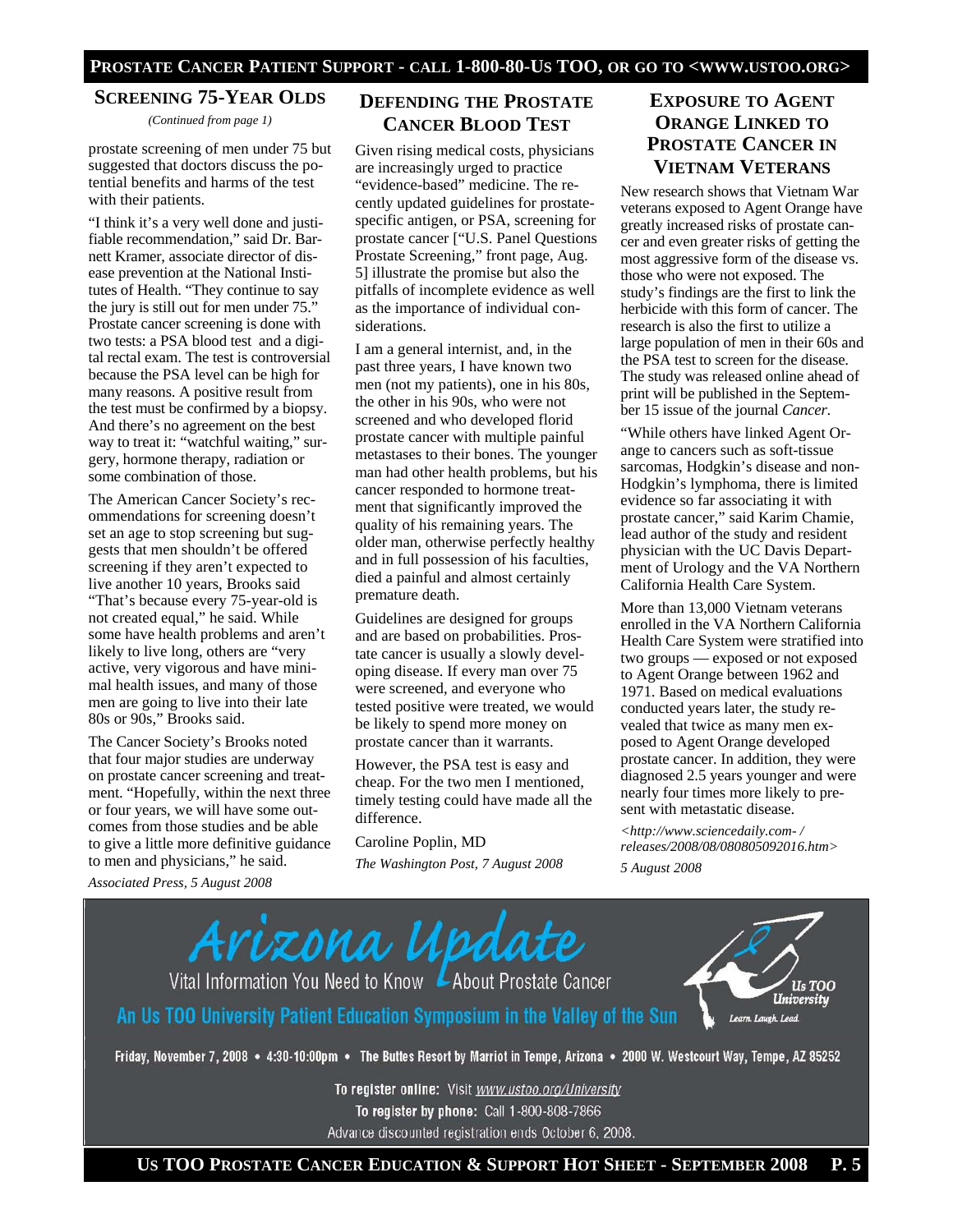### **SCREENING 75-YEAR OLDS**

*(Continued from page 1)* 

prostate screening of men under 75 but suggested that doctors discuss the potential benefits and harms of the test with their patients.

"I think it's a very well done and justifiable recommendation," said Dr. Barnett Kramer, associate director of disease prevention at the National Institutes of Health. "They continue to say the jury is still out for men under 75." Prostate cancer screening is done with two tests: a PSA blood test and a digital rectal exam. The test is controversial because the PSA level can be high for many reasons. A positive result from the test must be confirmed by a biopsy. And there's no agreement on the best way to treat it: "watchful waiting," surgery, hormone therapy, radiation or some combination of those.

The American Cancer Society's recommendations for screening doesn't set an age to stop screening but suggests that men shouldn't be offered screening if they aren't expected to live another 10 years, Brooks said "That's because every 75-year-old is not created equal," he said. While some have health problems and aren't likely to live long, others are "very active, very vigorous and have minimal health issues, and many of those men are going to live into their late 80s or 90s," Brooks said.

The Cancer Society's Brooks noted that four major studies are underway on prostate cancer screening and treatment. "Hopefully, within the next three or four years, we will have some outcomes from those studies and be able to give a little more definitive guidance to men and physicians," he said.

*Associated Press, 5 August 2008* 

### **DEFENDING THE PROSTATE CANCER BLOOD TEST**

Given rising medical costs, physicians are increasingly urged to practice "evidence-based" medicine. The recently updated guidelines for prostatespecific antigen, or PSA, screening for prostate cancer ["U.S. Panel Questions Prostate Screening," front page, Aug. 5] illustrate the promise but also the pitfalls of incomplete evidence as well as the importance of individual considerations.

I am a general internist, and, in the past three years, I have known two men (not my patients), one in his 80s, the other in his 90s, who were not screened and who developed florid prostate cancer with multiple painful metastases to their bones. The younger man had other health problems, but his cancer responded to hormone treatment that significantly improved the quality of his remaining years. The older man, otherwise perfectly healthy and in full possession of his faculties, died a painful and almost certainly premature death.

Guidelines are designed for groups and are based on probabilities. Prostate cancer is usually a slowly developing disease. If every man over 75 were screened, and everyone who tested positive were treated, we would be likely to spend more money on prostate cancer than it warrants.

However, the PSA test is easy and cheap. For the two men I mentioned, timely testing could have made all the difference.

#### Caroline Poplin, MD

*The Washington Post, 7 August 2008* 

## **EXPOSURE TO AGENT ORANGE LINKED TO PROSTATE CANCER IN VIETNAM VETERANS**

New research shows that Vietnam War veterans exposed to Agent Orange have greatly increased risks of prostate cancer and even greater risks of getting the most aggressive form of the disease vs. those who were not exposed. The study's findings are the first to link the herbicide with this form of cancer. The research is also the first to utilize a large population of men in their 60s and the PSA test to screen for the disease. The study was released online ahead of print will be published in the September 15 issue of the journal *Cancer*.

"While others have linked Agent Orange to cancers such as soft-tissue sarcomas, Hodgkin's disease and non-Hodgkin's lymphoma, there is limited evidence so far associating it with prostate cancer," said Karim Chamie, lead author of the study and resident physician with the UC Davis Department of Urology and the VA Northern California Health Care System.

More than 13,000 Vietnam veterans enrolled in the VA Northern California Health Care System were stratified into two groups — exposed or not exposed to Agent Orange between 1962 and 1971. Based on medical evaluations conducted years later, the study revealed that twice as many men exposed to Agent Orange developed prostate cancer. In addition, they were diagnosed 2.5 years younger and were nearly four times more likely to present with metastatic disease.

*<http://www.sciencedaily.com- / releases/2008/08/080805092016.htm> 5 August 2008* 



To register online: Visit www.ustoo.org/University To register by phone: Call 1-800-808-7866 Advance discounted registration ends October 6, 2008.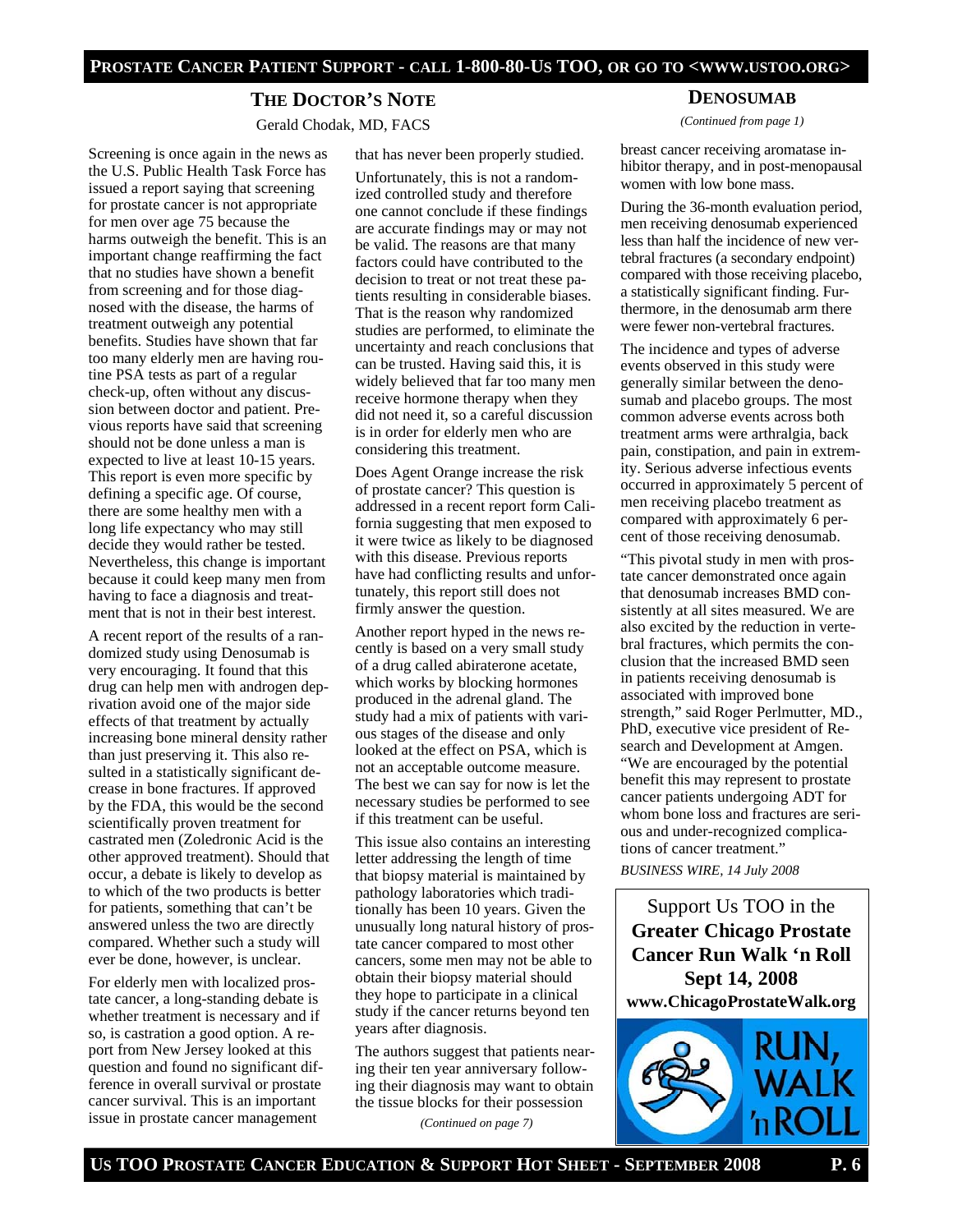# **THE DOCTOR'S NOTE**

Gerald Chodak, MD, FACS

Screening is once again in the news as the U.S. Public Health Task Force has issued a report saying that screening for prostate cancer is not appropriate for men over age 75 because the harms outweigh the benefit. This is an important change reaffirming the fact that no studies have shown a benefit from screening and for those diagnosed with the disease, the harms of treatment outweigh any potential benefits. Studies have shown that far too many elderly men are having routine PSA tests as part of a regular check-up, often without any discussion between doctor and patient. Previous reports have said that screening should not be done unless a man is expected to live at least 10-15 years. This report is even more specific by defining a specific age. Of course, there are some healthy men with a long life expectancy who may still decide they would rather be tested. Nevertheless, this change is important because it could keep many men from having to face a diagnosis and treatment that is not in their best interest.

A recent report of the results of a randomized study using Denosumab is very encouraging. It found that this drug can help men with androgen deprivation avoid one of the major side effects of that treatment by actually increasing bone mineral density rather than just preserving it. This also resulted in a statistically significant decrease in bone fractures. If approved by the FDA, this would be the second scientifically proven treatment for castrated men (Zoledronic Acid is the other approved treatment). Should that occur, a debate is likely to develop as to which of the two products is better for patients, something that can't be answered unless the two are directly compared. Whether such a study will ever be done, however, is unclear.

For elderly men with localized prostate cancer, a long-standing debate is whether treatment is necessary and if so, is castration a good option. A report from New Jersey looked at this question and found no significant difference in overall survival or prostate cancer survival. This is an important issue in prostate cancer management

that has never been properly studied. Unfortunately, this is not a randomized controlled study and therefore one cannot conclude if these findings are accurate findings may or may not be valid. The reasons are that many factors could have contributed to the decision to treat or not treat these patients resulting in considerable biases. That is the reason why randomized studies are performed, to eliminate the uncertainty and reach conclusions that can be trusted. Having said this, it is widely believed that far too many men receive hormone therapy when they did not need it, so a careful discussion is in order for elderly men who are considering this treatment.

Does Agent Orange increase the risk of prostate cancer? This question is addressed in a recent report form California suggesting that men exposed to it were twice as likely to be diagnosed with this disease. Previous reports have had conflicting results and unfortunately, this report still does not firmly answer the question.

Another report hyped in the news recently is based on a very small study of a drug called abiraterone acetate, which works by blocking hormones produced in the adrenal gland. The study had a mix of patients with various stages of the disease and only looked at the effect on PSA, which is not an acceptable outcome measure. The best we can say for now is let the necessary studies be performed to see if this treatment can be useful.

This issue also contains an interesting letter addressing the length of time that biopsy material is maintained by pathology laboratories which traditionally has been 10 years. Given the unusually long natural history of prostate cancer compared to most other cancers, some men may not be able to obtain their biopsy material should they hope to participate in a clinical study if the cancer returns beyond ten years after diagnosis.

The authors suggest that patients nearing their ten year anniversary following their diagnosis may want to obtain the tissue blocks for their possession

*(Continued on page 7)* 

### **DENOSUMAB**

*(Continued from page 1)* 

breast cancer receiving aromatase inhibitor therapy, and in post-menopausal women with low bone mass.

During the 36-month evaluation period, men receiving denosumab experienced less than half the incidence of new vertebral fractures (a secondary endpoint) compared with those receiving placebo, a statistically significant finding. Furthermore, in the denosumab arm there were fewer non-vertebral fractures.

The incidence and types of adverse events observed in this study were generally similar between the denosumab and placebo groups. The most common adverse events across both treatment arms were arthralgia, back pain, constipation, and pain in extremity. Serious adverse infectious events occurred in approximately 5 percent of men receiving placebo treatment as compared with approximately 6 percent of those receiving denosumab.

"This pivotal study in men with prostate cancer demonstrated once again that denosumab increases BMD consistently at all sites measured. We are also excited by the reduction in vertebral fractures, which permits the conclusion that the increased BMD seen in patients receiving denosumab is associated with improved bone strength," said Roger Perlmutter, MD., PhD, executive vice president of Research and Development at Amgen. "We are encouraged by the potential benefit this may represent to prostate cancer patients undergoing ADT for whom bone loss and fractures are serious and under-recognized complications of cancer treatment."

*BUSINESS WIRE, 14 July 2008* 

Support Us TOO in the **Greater Chicago Prostate Cancer Run Walk 'n Roll Sept 14, 2008 www.ChicagoProstateWalk.org**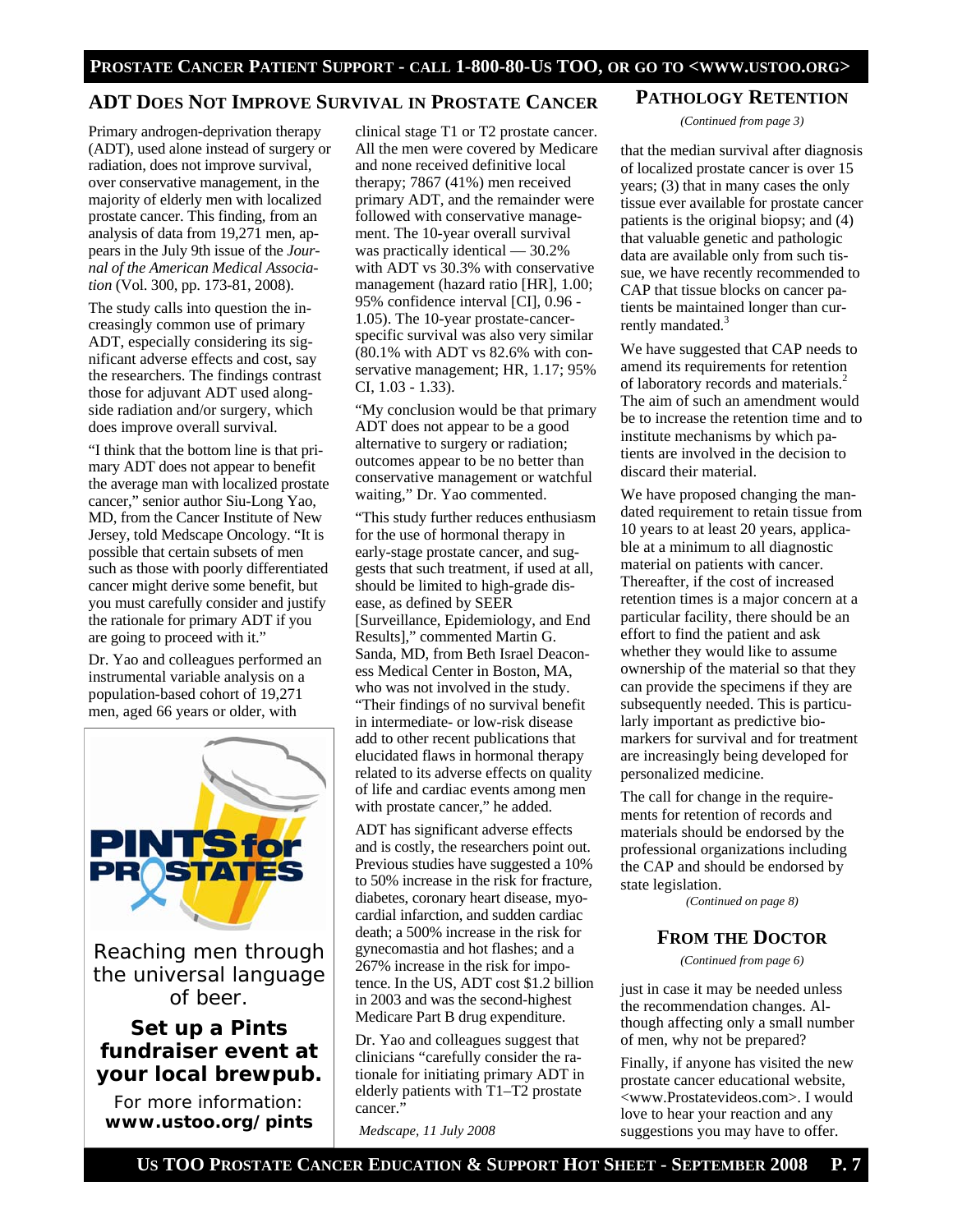### **ADT DOES NOT IMPROVE SURVIVAL IN PROSTATE CANCER**

Primary androgen-deprivation therapy (ADT), used alone instead of surgery or radiation, does not improve survival, over conservative management, in the majority of elderly men with localized prostate cancer. This finding, from an analysis of data from 19,271 men, appears in the July 9th issue of the *Journal of the American Medical Association* (Vol. 300, pp. 173-81, 2008).

The study calls into question the increasingly common use of primary ADT, especially considering its significant adverse effects and cost, say the researchers. The findings contrast those for adjuvant ADT used alongside radiation and/or surgery, which does improve overall survival.

"I think that the bottom line is that primary ADT does not appear to benefit the average man with localized prostate cancer," senior author Siu-Long Yao, MD, from the Cancer Institute of New Jersey, told Medscape Oncology. "It is possible that certain subsets of men such as those with poorly differentiated cancer might derive some benefit, but you must carefully consider and justify the rationale for primary ADT if you are going to proceed with it."

Dr. Yao and colleagues performed an instrumental variable analysis on a population-based cohort of 19,271 men, aged 66 years or older, with



Reaching men through the universal language of beer.

# **Set up a Pints fundraiser event at your local brewpub.**

For more information: **www.ustoo.org/pints** clinical stage T1 or T2 prostate cancer. All the men were covered by Medicare and none received definitive local therapy; 7867 (41%) men received primary ADT, and the remainder were followed with conservative management. The 10-year overall survival was practically identical — 30.2% with ADT vs 30.3% with conservative management (hazard ratio [HR], 1.00; 95% confidence interval [CI], 0.96 - 1.05). The 10-year prostate-cancerspecific survival was also very similar (80.1% with ADT vs 82.6% with conservative management; HR, 1.17; 95% CI, 1.03 - 1.33).

"My conclusion would be that primary ADT does not appear to be a good alternative to surgery or radiation; outcomes appear to be no better than conservative management or watchful waiting," Dr. Yao commented.

"This study further reduces enthusiasm for the use of hormonal therapy in early-stage prostate cancer, and suggests that such treatment, if used at all, should be limited to high-grade disease, as defined by SEER [Surveillance, Epidemiology, and End Results]," commented Martin G. Sanda, MD, from Beth Israel Deaconess Medical Center in Boston, MA, who was not involved in the study. "Their findings of no survival benefit in intermediate- or low-risk disease add to other recent publications that elucidated flaws in hormonal therapy related to its adverse effects on quality of life and cardiac events among men with prostate cancer," he added.

ADT has significant adverse effects and is costly, the researchers point out. Previous studies have suggested a 10% to 50% increase in the risk for fracture, diabetes, coronary heart disease, myocardial infarction, and sudden cardiac death; a 500% increase in the risk for gynecomastia and hot flashes; and a 267% increase in the risk for impotence. In the US, ADT cost \$1.2 billion in 2003 and was the second-highest Medicare Part B drug expenditure.

Dr. Yao and colleagues suggest that clinicians "carefully consider the rationale for initiating primary ADT in elderly patients with T1–T2 prostate cancer."

*Medscape, 11 July 2008* 

### **PATHOLOGY RETENTION**

*(Continued from page 3)* 

that the median survival after diagnosis of localized prostate cancer is over 15 years; (3) that in many cases the only tissue ever available for prostate cancer patients is the original biopsy; and (4) that valuable genetic and pathologic data are available only from such tissue, we have recently recommended to CAP that tissue blocks on cancer patients be maintained longer than currently mandated.<sup>3</sup>

We have suggested that CAP needs to amend its requirements for retention of laboratory records and materials.<sup>2</sup> The aim of such an amendment would be to increase the retention time and to institute mechanisms by which patients are involved in the decision to discard their material.

We have proposed changing the mandated requirement to retain tissue from 10 years to at least 20 years, applicable at a minimum to all diagnostic material on patients with cancer. Thereafter, if the cost of increased retention times is a major concern at a particular facility, there should be an effort to find the patient and ask whether they would like to assume ownership of the material so that they can provide the specimens if they are subsequently needed. This is particularly important as predictive biomarkers for survival and for treatment are increasingly being developed for personalized medicine.

The call for change in the requirements for retention of records and materials should be endorsed by the professional organizations including the CAP and should be endorsed by state legislation.

*(Continued on page 8)* 

### **FROM THE DOCTOR**

*(Continued from page 6)* 

just in case it may be needed unless the recommendation changes. Although affecting only a small number of men, why not be prepared?

Finally, if anyone has visited the new prostate cancer educational website, <www.Prostatevideos.com>. I would love to hear your reaction and any suggestions you may have to offer.